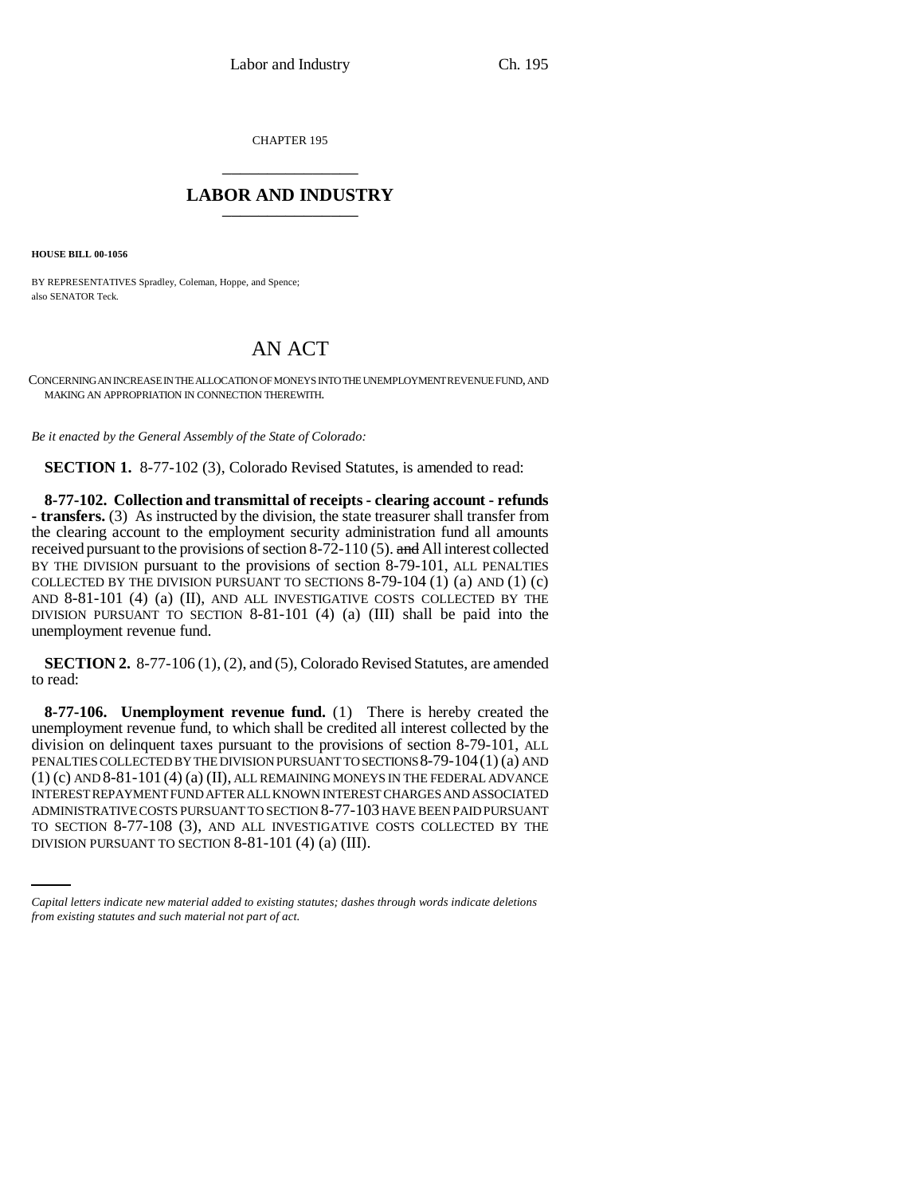CHAPTER 195 \_\_\_\_\_\_\_\_\_\_\_\_\_\_\_

## **LABOR AND INDUSTRY** \_\_\_\_\_\_\_\_\_\_\_\_\_\_\_

**HOUSE BILL 00-1056** 

BY REPRESENTATIVES Spradley, Coleman, Hoppe, and Spence; also SENATOR Teck.

## AN ACT

CONCERNING AN INCREASE IN THE ALLOCATION OF MONEYS INTO THE UNEMPLOYMENT REVENUE FUND, AND MAKING AN APPROPRIATION IN CONNECTION THEREWITH.

*Be it enacted by the General Assembly of the State of Colorado:*

**SECTION 1.** 8-77-102 (3), Colorado Revised Statutes, is amended to read:

**8-77-102. Collection and transmittal of receipts - clearing account - refunds - transfers.** (3) As instructed by the division, the state treasurer shall transfer from the clearing account to the employment security administration fund all amounts received pursuant to the provisions of section 8-72-110 (5). and All interest collected BY THE DIVISION pursuant to the provisions of section 8-79-101, ALL PENALTIES COLLECTED BY THE DIVISION PURSUANT TO SECTIONS 8-79-104 (1) (a) AND (1) (c) AND 8-81-101 (4) (a) (II), AND ALL INVESTIGATIVE COSTS COLLECTED BY THE DIVISION PURSUANT TO SECTION 8-81-101 (4) (a) (III) shall be paid into the unemployment revenue fund.

**SECTION 2.** 8-77-106 (1), (2), and (5), Colorado Revised Statutes, are amended to read:

ADMINISTRATIVE COSTS PURSUANT TO SECTION 8-77-103 HAVE BEEN PAID PURSUANT **8-77-106. Unemployment revenue fund.** (1) There is hereby created the unemployment revenue fund, to which shall be credited all interest collected by the division on delinquent taxes pursuant to the provisions of section 8-79-101, ALL PENALTIES COLLECTED BY THE DIVISION PURSUANT TO SECTIONS 8-79-104(1) (a) AND  $(1)$  (c) AND  $8-81-101$  (4) (a) (II), ALL REMAINING MONEYS IN THE FEDERAL ADVANCE INTEREST REPAYMENT FUND AFTER ALL KNOWN INTEREST CHARGES AND ASSOCIATED TO SECTION 8-77-108 (3), AND ALL INVESTIGATIVE COSTS COLLECTED BY THE DIVISION PURSUANT TO SECTION 8-81-101 (4) (a) (III).

*Capital letters indicate new material added to existing statutes; dashes through words indicate deletions from existing statutes and such material not part of act.*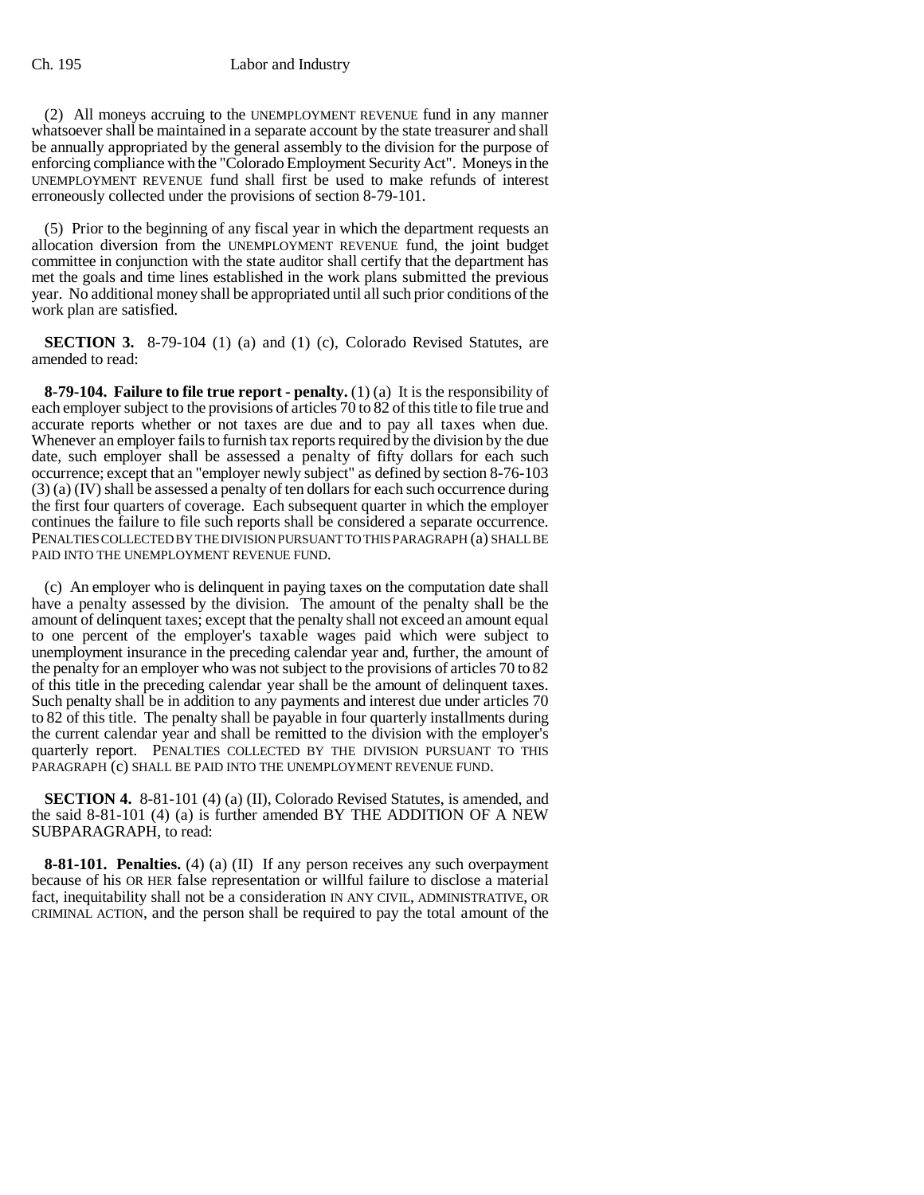## Ch. 195 Labor and Industry

(2) All moneys accruing to the UNEMPLOYMENT REVENUE fund in any manner whatsoever shall be maintained in a separate account by the state treasurer and shall be annually appropriated by the general assembly to the division for the purpose of enforcing compliance with the "Colorado Employment Security Act". Moneys in the UNEMPLOYMENT REVENUE fund shall first be used to make refunds of interest erroneously collected under the provisions of section 8-79-101.

(5) Prior to the beginning of any fiscal year in which the department requests an allocation diversion from the UNEMPLOYMENT REVENUE fund, the joint budget committee in conjunction with the state auditor shall certify that the department has met the goals and time lines established in the work plans submitted the previous year. No additional money shall be appropriated until all such prior conditions of the work plan are satisfied.

**SECTION 3.** 8-79-104 (1) (a) and (1) (c), Colorado Revised Statutes, are amended to read:

**8-79-104. Failure to file true report - penalty.** (1) (a) It is the responsibility of each employer subject to the provisions of articles 70 to 82 of this title to file true and accurate reports whether or not taxes are due and to pay all taxes when due. Whenever an employer fails to furnish tax reports required by the division by the due date, such employer shall be assessed a penalty of fifty dollars for each such occurrence; except that an "employer newly subject" as defined by section 8-76-103 (3) (a) (IV) shall be assessed a penalty of ten dollars for each such occurrence during the first four quarters of coverage. Each subsequent quarter in which the employer continues the failure to file such reports shall be considered a separate occurrence. PENALTIES COLLECTED BY THE DIVISION PURSUANT TO THIS PARAGRAPH (a) SHALL BE PAID INTO THE UNEMPLOYMENT REVENUE FUND.

(c) An employer who is delinquent in paying taxes on the computation date shall have a penalty assessed by the division. The amount of the penalty shall be the amount of delinquent taxes; except that the penalty shall not exceed an amount equal to one percent of the employer's taxable wages paid which were subject to unemployment insurance in the preceding calendar year and, further, the amount of the penalty for an employer who was not subject to the provisions of articles 70 to 82 of this title in the preceding calendar year shall be the amount of delinquent taxes. Such penalty shall be in addition to any payments and interest due under articles 70 to 82 of this title. The penalty shall be payable in four quarterly installments during the current calendar year and shall be remitted to the division with the employer's quarterly report. PENALTIES COLLECTED BY THE DIVISION PURSUANT TO THIS PARAGRAPH (c) SHALL BE PAID INTO THE UNEMPLOYMENT REVENUE FUND.

**SECTION 4.** 8-81-101 (4) (a) (II), Colorado Revised Statutes, is amended, and the said 8-81-101 (4) (a) is further amended BY THE ADDITION OF A NEW SUBPARAGRAPH, to read:

**8-81-101. Penalties.** (4) (a) (II) If any person receives any such overpayment because of his OR HER false representation or willful failure to disclose a material fact, inequitability shall not be a consideration IN ANY CIVIL, ADMINISTRATIVE, OR CRIMINAL ACTION, and the person shall be required to pay the total amount of the